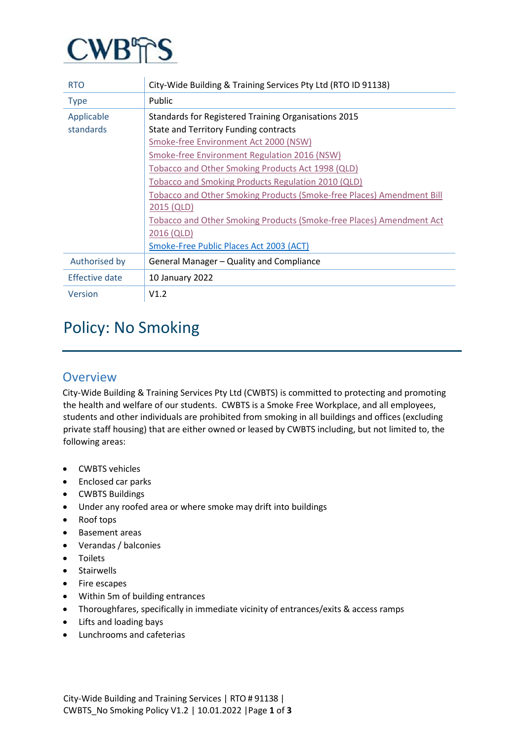

| <b>RTO</b>     | City-Wide Building & Training Services Pty Ltd (RTO ID 91138)         |
|----------------|-----------------------------------------------------------------------|
| <b>Type</b>    | Public                                                                |
| Applicable     | Standards for Registered Training Organisations 2015                  |
| standards      | <b>State and Territory Funding contracts</b>                          |
|                | Smoke-free Environment Act 2000 (NSW)                                 |
|                | Smoke-free Environment Regulation 2016 (NSW)                          |
|                | Tobacco and Other Smoking Products Act 1998 (QLD)                     |
|                | Tobacco and Smoking Products Regulation 2010 (QLD)                    |
|                | Tobacco and Other Smoking Products (Smoke-free Places) Amendment Bill |
|                | 2015 (QLD)                                                            |
|                | Tobacco and Other Smoking Products (Smoke-free Places) Amendment Act  |
|                | 2016 (QLD)                                                            |
|                | Smoke-Free Public Places Act 2003 (ACT)                               |
| Authorised by  | General Manager – Quality and Compliance                              |
| Effective date | 10 January 2022                                                       |
| Version        | V1.2                                                                  |

# Policy: No Smoking

#### **Overview**

City-Wide Building & Training Services Pty Ltd (CWBTS) is committed to protecting and promoting the health and welfare of our students. CWBTS is a Smoke Free Workplace, and all employees, students and other individuals are prohibited from smoking in all buildings and offices (excluding private staff housing) that are either owned or leased by CWBTS including, but not limited to, the following areas:

- CWBTS vehicles
- Enclosed car parks
- CWBTS Buildings
- Under any roofed area or where smoke may drift into buildings
- Roof tops
- Basement areas
- Verandas / balconies
- Toilets
- Stairwells
- Fire escapes
- Within 5m of building entrances
- Thoroughfares, specifically in immediate vicinity of entrances/exits & access ramps
- Lifts and loading bays
- Lunchrooms and cafeterias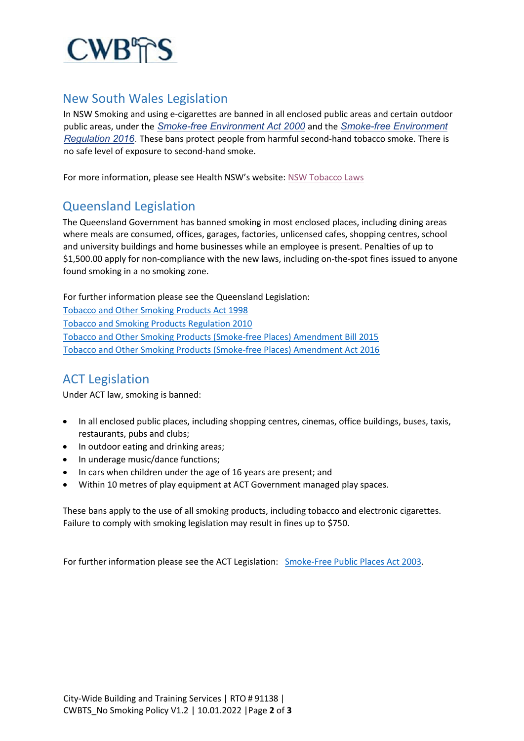

#### New South Wales Legislation

In NSW Smoking and using e-cigarettes are banned in all enclosed public areas and certain outdoor public areas, under the *[Smoke-free Environment Act 2000](http://www.legislation.nsw.gov.au/#/view/act/2000/69/full)* and the *[Smoke-free Environment](http://www.legislation.nsw.gov.au/#/view/regulation/2016/558)  [Regulation 2016](http://www.legislation.nsw.gov.au/#/view/regulation/2016/558)*. These bans protect people from harmful second-hand tobacco smoke. There is no safe level of exposure to second-hand smoke.

For more information, please see Health NSW's website: [NSW Tobacco Laws](https://www.health.nsw.gov.au/tobacco/Pages/smoke-free-laws.aspx)

### Queensland Legislation

The Queensland Government has banned smoking in most enclosed places, including dining areas where meals are consumed, offices, garages, factories, unlicensed cafes, shopping centres, school and university buildings and home businesses while an employee is present. Penalties of up to \$1,500.00 apply for non-compliance with the new laws, including on-the-spot fines issued to anyone found smoking in a no smoking zone.

For further information please see the Queensland Legislation: [Tobacco and Other Smoking Products Act 1998](https://www.legislation.qld.gov.au/view/html/inforce/current/act-1998-001?query=((Repealed%3DN+AND+PrintType%3D%22act.reprint%22+AND+PitValid%3D%40pointInTime(20210503000000))+OR+(Repealed%3DN+AND+PrintType%3D%22reprint%22+AND+PitValid%3D%40pointInTime(20210503000000)))+AND+Content%3D(%22tobacco%22)&q-collection%5B%5D=inforceActs&q-collection%5B%5D=inforceSLs&q-documentTitle=&q-prefixCcl=&q-searchfor=tobacco&q-searchin=Content&q-searchusing=allwords&q-year=&q-no=&q-point-in-time=03%2F05%2F2021&q-searchform=basic) Tobacco and [Smoking Products Regulation 2010](https://www.legislation.qld.gov.au/view/pdf/inforce/2015-11-06/sl-2010-0218) [Tobacco and Other Smoking Products \(Smoke-free Places\) Amendment Bill 2015](https://www.legislation.qld.gov.au/view/html/bill.first/bill-2015-311) [Tobacco and Other Smoking Products \(Smoke-free Places\) Amendment Act 2016](https://www.legislation.qld.gov.au/view/html/asmade/act-2016-006)

# ACT Legislation

Under ACT law, smoking is banned:

- In all enclosed public places, including shopping centres, cinemas, office buildings, buses, taxis, restaurants, pubs and clubs;
- In outdoor eating and drinking areas;
- In underage music/dance functions;
- In cars when children under the age of 16 years are present; and
- Within 10 metres of play equipment at ACT Government managed play spaces.

These bans apply to the use of all smoking products, including tobacco and electronic cigarettes. Failure to comply with smoking legislation may result in fines up to \$750.

For further information please see the ACT Legislation[:](http://www.legislation.act.gov.au/a/2003-51/default.asp) [Smoke-Free Public Places Act 2003](https://www.legislation.act.gov.au/a/2003-51/)[.](http://www.legislation.act.gov.au/a/2003-51/default.asp)